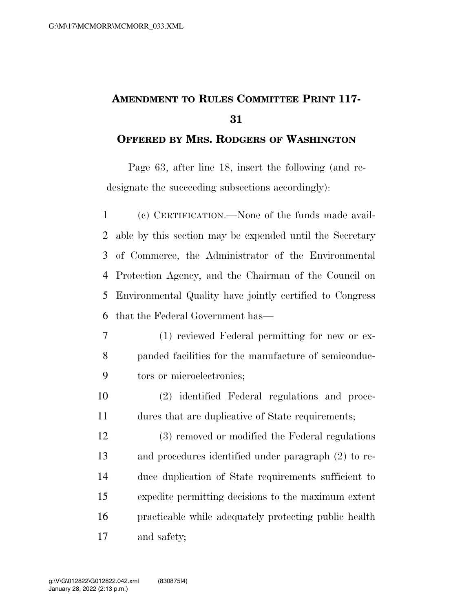## **AMENDMENT TO RULES COMMITTEE PRINT 117-**

## **OFFERED BY MRS. RODGERS OF WASHINGTON**

Page 63, after line 18, insert the following (and redesignate the succeeding subsections accordingly):

 (c) CERTIFICATION.—None of the funds made avail- able by this section may be expended until the Secretary of Commerce, the Administrator of the Environmental Protection Agency, and the Chairman of the Council on Environmental Quality have jointly certified to Congress that the Federal Government has—

- (1) reviewed Federal permitting for new or ex- panded facilities for the manufacture of semiconduc-tors or microelectronics;
- (2) identified Federal regulations and proce-dures that are duplicative of State requirements;

 (3) removed or modified the Federal regulations and procedures identified under paragraph (2) to re- duce duplication of State requirements sufficient to expedite permitting decisions to the maximum extent practicable while adequately protecting public health and safety;